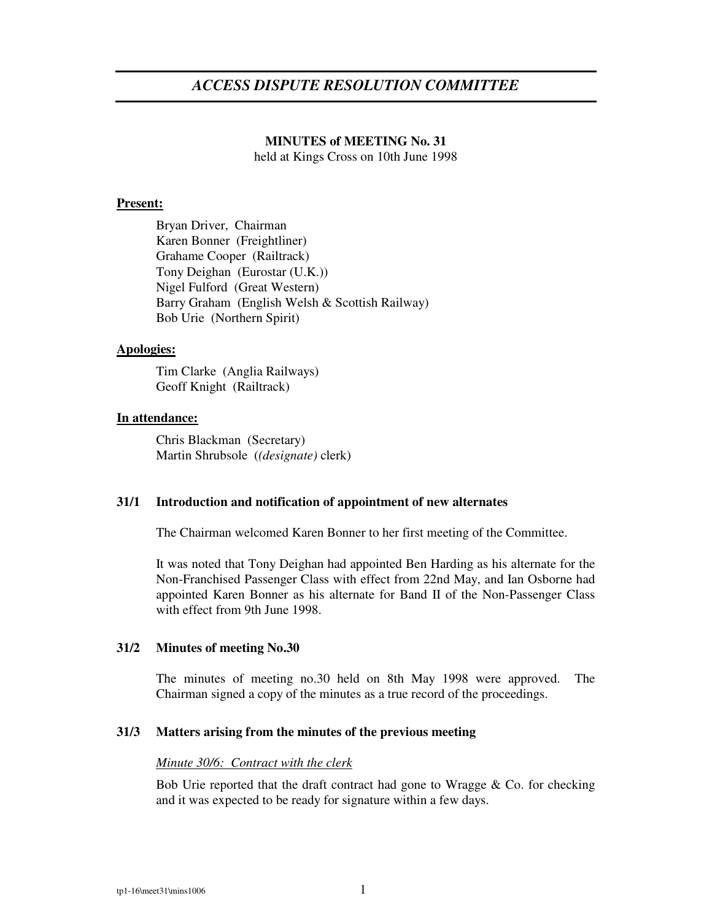# **MINUTES of MEETING No. 31** held at Kings Cross on 10th June 1998

## **Present:**

Bryan Driver, Chairman Karen Bonner (Freightliner) Grahame Cooper (Railtrack) Tony Deighan (Eurostar (U.K.)) Nigel Fulford (Great Western) Barry Graham (English Welsh & Scottish Railway) Bob Urie (Northern Spirit)

#### **Apologies:**

Tim Clarke (Anglia Railways) Geoff Knight (Railtrack)

### **In attendance:**

Chris Blackman (Secretary) Martin Shrubsole (*(designate)* clerk)

### **31/1 Introduction and notification of appointment of new alternates**

The Chairman welcomed Karen Bonner to her first meeting of the Committee.

It was noted that Tony Deighan had appointed Ben Harding as his alternate for the Non-Franchised Passenger Class with effect from 22nd May, and Ian Osborne had appointed Karen Bonner as his alternate for Band II of the Non-Passenger Class with effect from 9th June 1998.

### **31/2 Minutes of meeting No.30**

The minutes of meeting no.30 held on 8th May 1998 were approved. The Chairman signed a copy of the minutes as a true record of the proceedings.

### **31/3 Matters arising from the minutes of the previous meeting**

### *Minute 30/6: Contract with the clerk*

Bob Urie reported that the draft contract had gone to Wragge  $\&$  Co. for checking and it was expected to be ready for signature within a few days.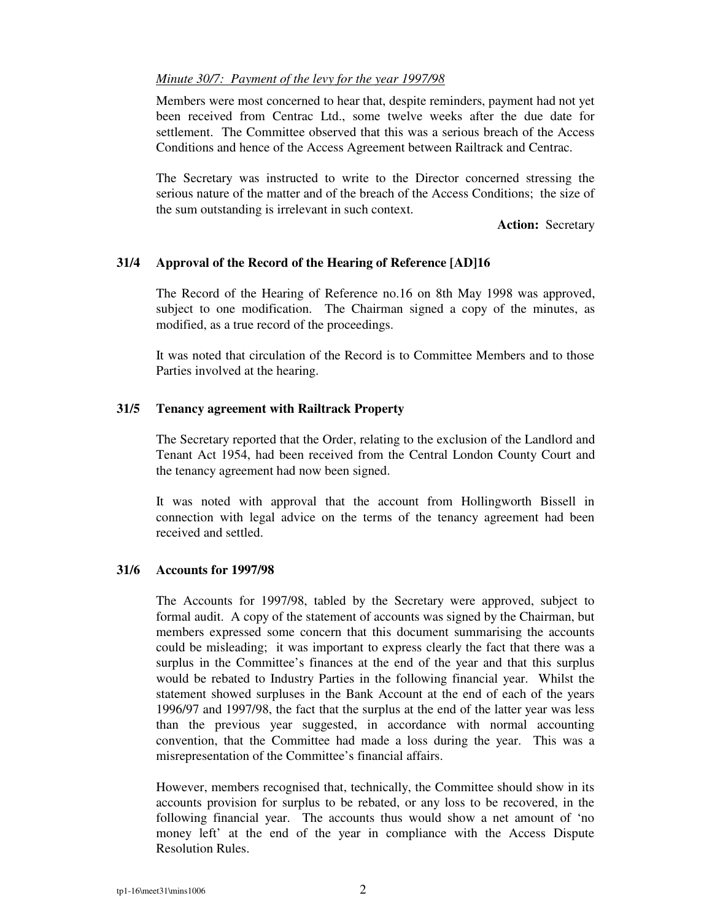# *Minute 30/7: Payment of the levy for the year 1997/98*

Members were most concerned to hear that, despite reminders, payment had not yet been received from Centrac Ltd., some twelve weeks after the due date for settlement. The Committee observed that this was a serious breach of the Access Conditions and hence of the Access Agreement between Railtrack and Centrac.

The Secretary was instructed to write to the Director concerned stressing the serious nature of the matter and of the breach of the Access Conditions; the size of the sum outstanding is irrelevant in such context.

**Action:** Secretary

# **31/4 Approval of the Record of the Hearing of Reference [AD]16**

The Record of the Hearing of Reference no.16 on 8th May 1998 was approved, subject to one modification. The Chairman signed a copy of the minutes, as modified, as a true record of the proceedings.

It was noted that circulation of the Record is to Committee Members and to those Parties involved at the hearing.

# **31/5 Tenancy agreement with Railtrack Property**

The Secretary reported that the Order, relating to the exclusion of the Landlord and Tenant Act 1954, had been received from the Central London County Court and the tenancy agreement had now been signed.

It was noted with approval that the account from Hollingworth Bissell in connection with legal advice on the terms of the tenancy agreement had been received and settled.

# **31/6 Accounts for 1997/98**

The Accounts for 1997/98, tabled by the Secretary were approved, subject to formal audit. A copy of the statement of accounts was signed by the Chairman, but members expressed some concern that this document summarising the accounts could be misleading; it was important to express clearly the fact that there was a surplus in the Committee's finances at the end of the year and that this surplus would be rebated to Industry Parties in the following financial year. Whilst the statement showed surpluses in the Bank Account at the end of each of the years 1996/97 and 1997/98, the fact that the surplus at the end of the latter year was less than the previous year suggested, in accordance with normal accounting convention, that the Committee had made a loss during the year. This was a misrepresentation of the Committee's financial affairs.

However, members recognised that, technically, the Committee should show in its accounts provision for surplus to be rebated, or any loss to be recovered, in the following financial year. The accounts thus would show a net amount of 'no money left' at the end of the year in compliance with the Access Dispute Resolution Rules.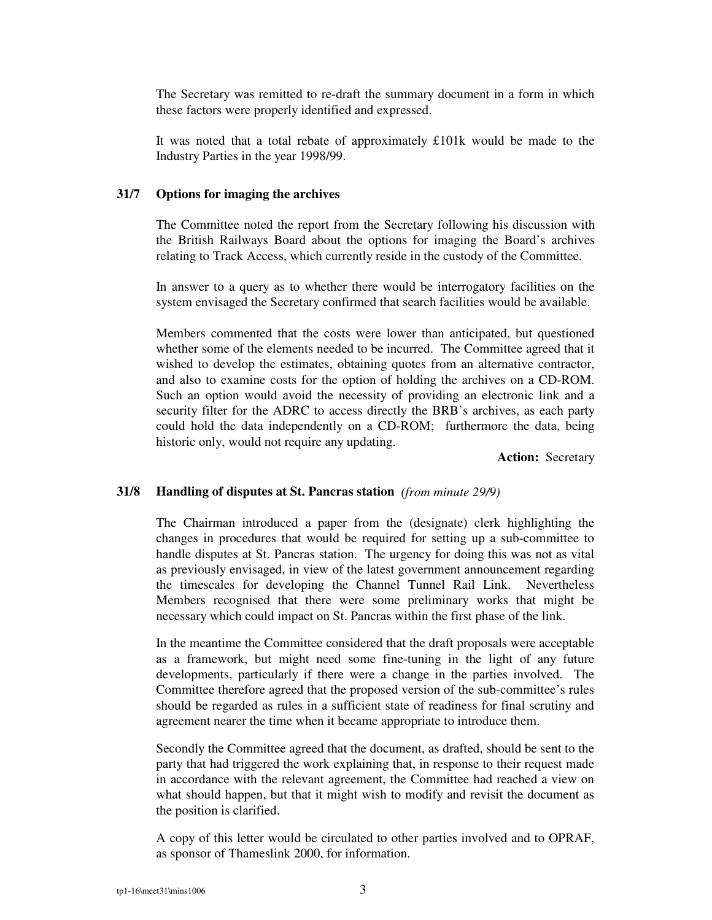The Secretary was remitted to re-draft the summary document in a form in which these factors were properly identified and expressed.

It was noted that a total rebate of approximately £101k would be made to the Industry Parties in the year 1998/99.

## **31/7 Options for imaging the archives**

The Committee noted the report from the Secretary following his discussion with the British Railways Board about the options for imaging the Board's archives relating to Track Access, which currently reside in the custody of the Committee.

In answer to a query as to whether there would be interrogatory facilities on the system envisaged the Secretary confirmed that search facilities would be available.

Members commented that the costs were lower than anticipated, but questioned whether some of the elements needed to be incurred. The Committee agreed that it wished to develop the estimates, obtaining quotes from an alternative contractor, and also to examine costs for the option of holding the archives on a CD-ROM. Such an option would avoid the necessity of providing an electronic link and a security filter for the ADRC to access directly the BRB's archives, as each party could hold the data independently on a CD-ROM; furthermore the data, being historic only, would not require any updating.

**Action:** Secretary

# **31/8 Handling of disputes at St. Pancras station** *(from minute 29/9)*

The Chairman introduced a paper from the (designate) clerk highlighting the changes in procedures that would be required for setting up a sub-committee to handle disputes at St. Pancras station. The urgency for doing this was not as vital as previously envisaged, in view of the latest government announcement regarding the timescales for developing the Channel Tunnel Rail Link. Nevertheless Members recognised that there were some preliminary works that might be necessary which could impact on St. Pancras within the first phase of the link.

In the meantime the Committee considered that the draft proposals were acceptable as a framework, but might need some fine-tuning in the light of any future developments, particularly if there were a change in the parties involved. The Committee therefore agreed that the proposed version of the sub-committee's rules should be regarded as rules in a sufficient state of readiness for final scrutiny and agreement nearer the time when it became appropriate to introduce them.

Secondly the Committee agreed that the document, as drafted, should be sent to the party that had triggered the work explaining that, in response to their request made in accordance with the relevant agreement, the Committee had reached a view on what should happen, but that it might wish to modify and revisit the document as the position is clarified.

A copy of this letter would be circulated to other parties involved and to OPRAF, as sponsor of Thameslink 2000, for information.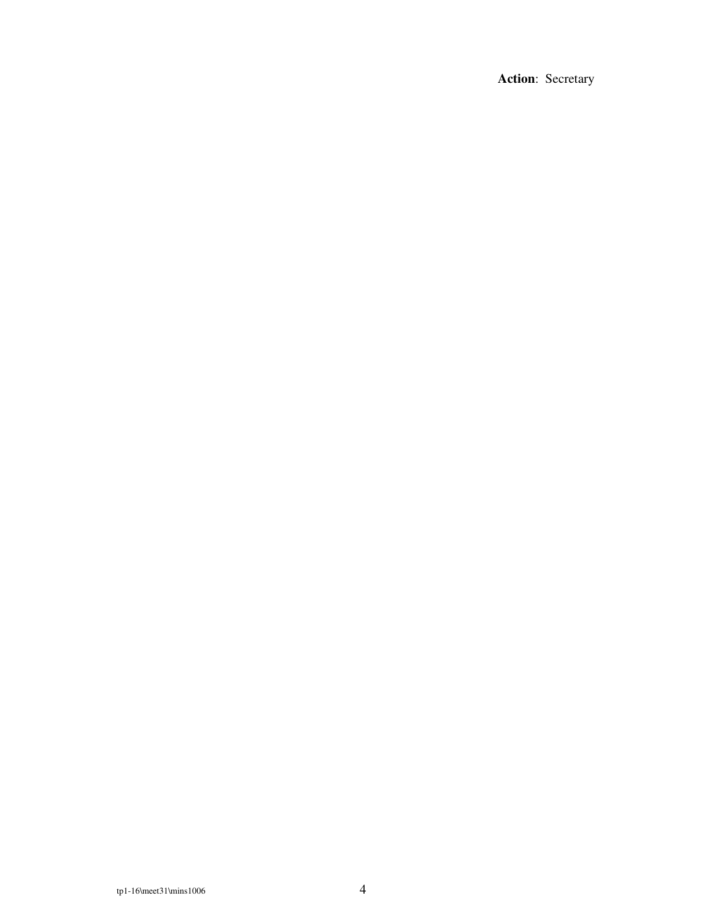Action: Secretary